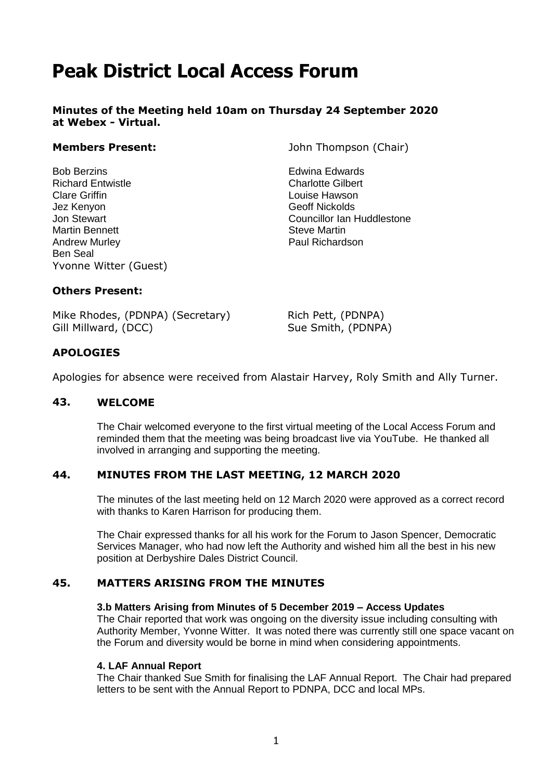# **Peak District Local Access Forum**

**Minutes of the Meeting held 10am on Thursday 24 September 2020 at Webex - Virtual.**

Bob Berzins Edwina Edwards Richard Entwistle Charlotte Gilbert Clare Griffin **Clare Griffin** Louise Hawson Jez Kenyon Geoff Nickolds Martin Bennett **Steve Martin** Andrew Murley **Paul Richardson** Ben Seal Yvonne Witter (Guest)

**Members Present:** John Thompson (Chair)

Jon Stewart Councillor Ian Huddlestone

#### **Others Present:**

Mike Rhodes, (PDNPA) (Secretary) Gill Millward, (DCC)

Rich Pett, (PDNPA) Sue Smith, (PDNPA)

# **APOLOGIES**

Apologies for absence were received from Alastair Harvey, Roly Smith and Ally Turner.

### **4343. WELCOME**

The Chair welcomed everyone to the first virtual meeting of the Local Access Forum and reminded them that the meeting was being broadcast live via YouTube. He thanked all involved in arranging and supporting the meeting.

#### **4444. MINUTES FROM THE LAST MEETING, 12 MARCH 2020**

The minutes of the last meeting held on 12 March 2020 were approved as a correct record with thanks to Karen Harrison for producing them.

The Chair expressed thanks for all his work for the Forum to Jason Spencer, Democratic Services Manager, who had now left the Authority and wished him all the best in his new position at Derbyshire Dales District Council.

#### **4545. MATTERS ARISING FROM THE MINUTES**

#### **3.b Matters Arising from Minutes of 5 December 2019 – Access Updates**

The Chair reported that work was ongoing on the diversity issue including consulting with Authority Member, Yvonne Witter. It was noted there was currently still one space vacant on the Forum and diversity would be borne in mind when considering appointments.

#### **4. LAF Annual Report**

The Chair thanked Sue Smith for finalising the LAF Annual Report. The Chair had prepared letters to be sent with the Annual Report to PDNPA, DCC and local MPs.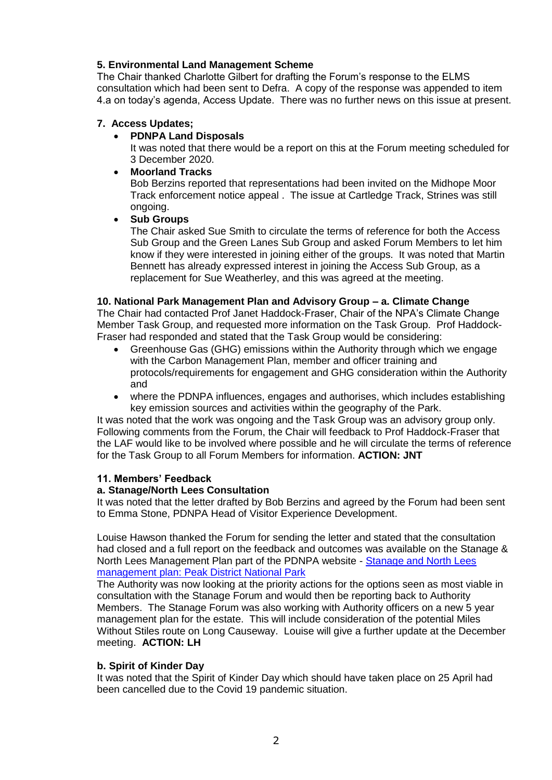# **5. Environmental Land Management Scheme**

The Chair thanked Charlotte Gilbert for drafting the Forum's response to the ELMS consultation which had been sent to Defra. A copy of the response was appended to item 4.a on today's agenda, Access Update. There was no further news on this issue at present.

# **7. Access Updates;**

**PDNPA Land Disposals**

It was noted that there would be a report on this at the Forum meeting scheduled for 3 December 2020.

**Moorland Tracks**

Bob Berzins reported that representations had been invited on the Midhope Moor Track enforcement notice appeal . The issue at Cartledge Track, Strines was still ongoing.

#### **Sub Groups**

The Chair asked Sue Smith to circulate the terms of reference for both the Access Sub Group and the Green Lanes Sub Group and asked Forum Members to let him know if they were interested in joining either of the groups. It was noted that Martin Bennett has already expressed interest in joining the Access Sub Group, as a replacement for Sue Weatherley, and this was agreed at the meeting.

#### **10. National Park Management Plan and Advisory Group – a. Climate Change**

The Chair had contacted Prof Janet Haddock-Fraser, Chair of the NPA's Climate Change Member Task Group, and requested more information on the Task Group. Prof Haddock-Fraser had responded and stated that the Task Group would be considering:

- Greenhouse Gas (GHG) emissions within the Authority through which we engage with the Carbon Management Plan, member and officer training and protocols/requirements for engagement and GHG consideration within the Authority and
- where the PDNPA influences, engages and authorises, which includes establishing key emission sources and activities within the geography of the Park.

It was noted that the work was ongoing and the Task Group was an advisory group only. Following comments from the Forum, the Chair will feedback to Prof Haddock-Fraser that the LAF would like to be involved where possible and he will circulate the terms of reference for the Task Group to all Forum Members for information. **ACTION: JNT**

#### **11. Members' Feedback**

#### **a. Stanage/North Lees Consultation**

It was noted that the letter drafted by Bob Berzins and agreed by the Forum had been sent to Emma Stone, PDNPA Head of Visitor Experience Development.

Louise Hawson thanked the Forum for sending the letter and stated that the consultation had closed and a full report on the feedback and outcomes was available on the Stanage & North Lees Management Plan part of the PDNPA website - [Stanage and North Lees](https://www.peakdistrict.gov.uk/visiting/places-to-visit/stanage-and-north-lees/whats-happening-at-stanage-and-north-lees)  [management plan: Peak District National Park](https://www.peakdistrict.gov.uk/visiting/places-to-visit/stanage-and-north-lees/whats-happening-at-stanage-and-north-lees)

The Authority was now looking at the priority actions for the options seen as most viable in consultation with the Stanage Forum and would then be reporting back to Authority Members. The Stanage Forum was also working with Authority officers on a new 5 year management plan for the estate. This will include consideration of the potential Miles Without Stiles route on Long Causeway. Louise will give a further update at the December meeting. **ACTION: LH**

#### **b. Spirit of Kinder Day**

It was noted that the Spirit of Kinder Day which should have taken place on 25 April had been cancelled due to the Covid 19 pandemic situation.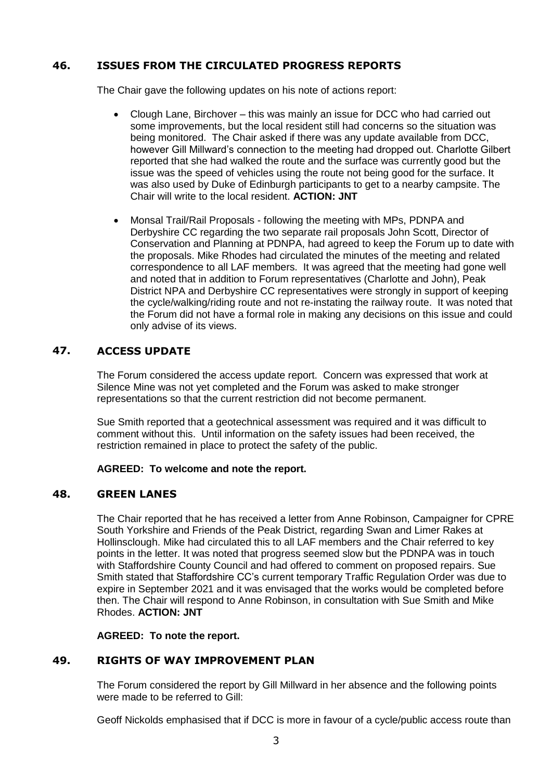# **4646. ISSUES FROM THE CIRCULATED PROGRESS REPORTS**

The Chair gave the following updates on his note of actions report:

- Clough Lane, Birchover this was mainly an issue for DCC who had carried out some improvements, but the local resident still had concerns so the situation was being monitored. The Chair asked if there was any update available from DCC, however Gill Millward's connection to the meeting had dropped out. Charlotte Gilbert reported that she had walked the route and the surface was currently good but the issue was the speed of vehicles using the route not being good for the surface. It was also used by Duke of Edinburgh participants to get to a nearby campsite. The Chair will write to the local resident. **ACTION: JNT**
- Monsal Trail/Rail Proposals following the meeting with MPs, PDNPA and Derbyshire CC regarding the two separate rail proposals John Scott, Director of Conservation and Planning at PDNPA, had agreed to keep the Forum up to date with the proposals. Mike Rhodes had circulated the minutes of the meeting and related correspondence to all LAF members. It was agreed that the meeting had gone well and noted that in addition to Forum representatives (Charlotte and John), Peak District NPA and Derbyshire CC representatives were strongly in support of keeping the cycle/walking/riding route and not re-instating the railway route. It was noted that the Forum did not have a formal role in making any decisions on this issue and could only advise of its views.

# **4747. ACCESS UPDATE**

The Forum considered the access update report. Concern was expressed that work at Silence Mine was not yet completed and the Forum was asked to make stronger representations so that the current restriction did not become permanent.

Sue Smith reported that a geotechnical assessment was required and it was difficult to comment without this. Until information on the safety issues had been received, the restriction remained in place to protect the safety of the public.

#### **AGREED: To welcome and note the report.**

#### **4848. GREEN LANES**

The Chair reported that he has received a letter from Anne Robinson, Campaigner for CPRE South Yorkshire and Friends of the Peak District, regarding Swan and Limer Rakes at Hollinsclough. Mike had circulated this to all LAF members and the Chair referred to key points in the letter. It was noted that progress seemed slow but the PDNPA was in touch with Staffordshire County Council and had offered to comment on proposed repairs. Sue Smith stated that Staffordshire CC's current temporary Traffic Regulation Order was due to expire in September 2021 and it was envisaged that the works would be completed before then. The Chair will respond to Anne Robinson, in consultation with Sue Smith and Mike Rhodes. **ACTION: JNT**

**AGREED: To note the report.**

# **4949. RIGHTS OF WAY IMPROVEMENT PLAN**

The Forum considered the report by Gill Millward in her absence and the following points were made to be referred to Gill:

Geoff Nickolds emphasised that if DCC is more in favour of a cycle/public access route than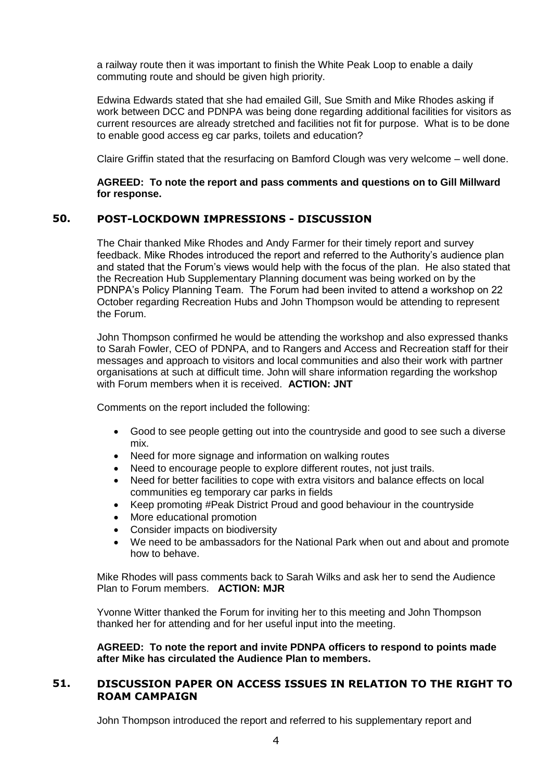a railway route then it was important to finish the White Peak Loop to enable a daily commuting route and should be given high priority.

Edwina Edwards stated that she had emailed Gill, Sue Smith and Mike Rhodes asking if work between DCC and PDNPA was being done regarding additional facilities for visitors as current resources are already stretched and facilities not fit for purpose. What is to be done to enable good access eg car parks, toilets and education?

Claire Griffin stated that the resurfacing on Bamford Clough was very welcome – well done.

#### **AGREED: To note the report and pass comments and questions on to Gill Millward for response.**

# **5050. POST-LOCKDOWN IMPRESSIONS - DISCUSSION**

The Chair thanked Mike Rhodes and Andy Farmer for their timely report and survey feedback. Mike Rhodes introduced the report and referred to the Authority's audience plan and stated that the Forum's views would help with the focus of the plan. He also stated that the Recreation Hub Supplementary Planning document was being worked on by the PDNPA's Policy Planning Team. The Forum had been invited to attend a workshop on 22 October regarding Recreation Hubs and John Thompson would be attending to represent the Forum.

John Thompson confirmed he would be attending the workshop and also expressed thanks to Sarah Fowler, CEO of PDNPA, and to Rangers and Access and Recreation staff for their messages and approach to visitors and local communities and also their work with partner organisations at such at difficult time. John will share information regarding the workshop with Forum members when it is received. **ACTION: JNT**

Comments on the report included the following:

- Good to see people getting out into the countryside and good to see such a diverse mix.
- Need for more signage and information on walking routes
- Need to encourage people to explore different routes, not just trails.
- Need for better facilities to cope with extra visitors and balance effects on local communities eg temporary car parks in fields
- Keep promoting #Peak District Proud and good behaviour in the countryside
- More educational promotion
- Consider impacts on biodiversity
- We need to be ambassadors for the National Park when out and about and promote how to behave.

Mike Rhodes will pass comments back to Sarah Wilks and ask her to send the Audience Plan to Forum members. **ACTION: MJR**

Yvonne Witter thanked the Forum for inviting her to this meeting and John Thompson thanked her for attending and for her useful input into the meeting.

**AGREED: To note the report and invite PDNPA officers to respond to points made after Mike has circulated the Audience Plan to members.**

#### **5151. DISCUSSION PAPER ON ACCESS ISSUES IN RELATION TO THE RIGHT TO ROAM CAMPAIGN**

John Thompson introduced the report and referred to his supplementary report and